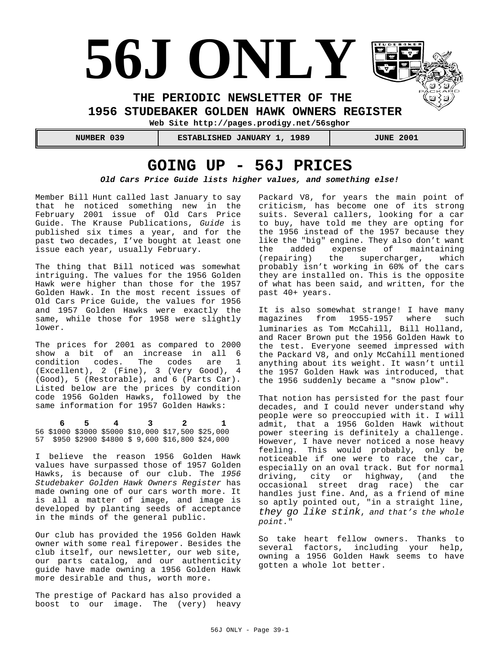# **56J ONLY**

**THE PERIODIC NEWSLETTER OF THE** 

**1956 STUDEBAKER GOLDEN HAWK OWNERS REGISTER** 

**Web Site http://pages.prodigy.net/56sghor**

 **NUMBER 039 ESTABLISHED JANUARY 1, 1989 JUNE 2001**

## **GOING UP - 56J PRICES**

*Old Cars Price Guide lists higher values, and something else!*

Member Bill Hunt called last January to say that he noticed something new in the February 2001 issue of Old Cars Price Guide. The Krause Publications, *Guide* is published six times a year, and for the past two decades, I've bought at least one issue each year, usually February.

The thing that Bill noticed was somewhat intriguing. The values for the 1956 Golden Hawk were higher than those for the 1957 Golden Hawk. In the most recent issues of Old Cars Price Guide, the values for 1956 and 1957 Golden Hawks were exactly the same, while those for 1958 were slightly lower.

The prices for 2001 as compared to 2000 show a bit of an increase in all 6 condition codes. The codes are 1 (Excellent), 2 (Fine), 3 (Very Good), 4 (Good), 5 (Restorable), and 6 (Parts Car). Listed below are the prices by condition code 1956 Golden Hawks, followed by the same information for 1957 Golden Hawks:

 **6 5 4 3 2 1** 56 \$1000 \$3000 \$5000 \$10,000 \$17,500 \$25,000 57 \$950 \$2900 \$4800 \$ 9,600 \$16,800 \$24,000

I believe the reason 1956 Golden Hawk values have surpassed those of 1957 Golden Hawks, is because of our club. The *1956 Studebaker Golden Hawk Owners Register* has made owning one of our cars worth more. It is all a matter of image, and image is developed by planting seeds of acceptance in the minds of the general public.

Our club has provided the 1956 Golden Hawk owner with some real firepower. Besides the club itself, our newsletter, our web site, our parts catalog, and our authenticity guide have made owning a 1956 Golden Hawk more desirable and thus, worth more.

The prestige of Packard has also provided a boost to our image. The (very) heavy Packard V8, for years the main point of criticism, has become one of its strong suits. Several callers, looking for a car to buy, have told me they are opting for the 1956 instead of the 1957 because they like the "big" engine. They also don't want the added expense of maintaining (repairing) the supercharger, which probably isn't working in 60% of the cars they are installed on. This is the opposite of what has been said, and written, for the past 40+ years.

It is also somewhat strange! I have many magazines from 1955-1957 where such luminaries as Tom McCahill, Bill Holland, and Racer Brown put the 1956 Golden Hawk to the test. Everyone seemed impressed with the Packard V8, and only McCahill mentioned anything about its weight. It wasn't until the 1957 Golden Hawk was introduced, that the 1956 suddenly became a "snow plow".

That notion has persisted for the past four decades, and I could never understand why people were so preoccupied with it. I will admit, that a 1956 Golden Hawk without power steering is definitely a challenge. However, I have never noticed a nose heavy feeling. This would probably, only be noticeable if one were to race the car, especially on an oval track. But for normal driving, city or highway, (and the occasional street drag race) the car handles just fine. And, as a friend of mine so aptly pointed out, "in a straight line, *they go like stink*, *and that's the whole point.*"

So take heart fellow owners. Thanks to several factors, including your help, owning a 1956 Golden Hawk seems to have gotten a whole lot better.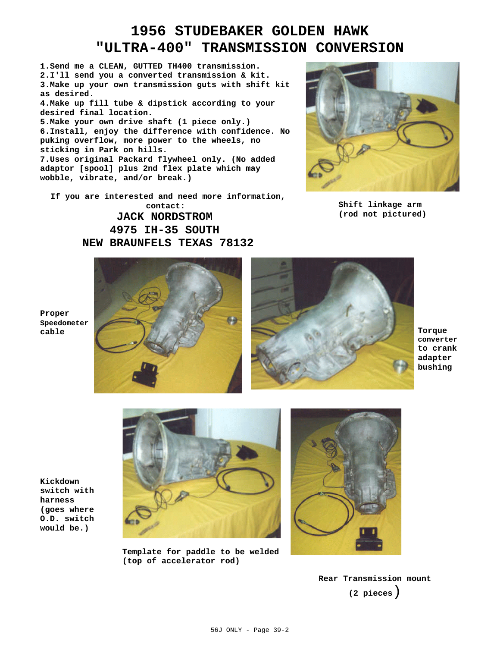## **1956 STUDEBAKER GOLDEN HAWK "ULTRA-400" TRANSMISSION CONVERSION**

**1.Send me a CLEAN, GUTTED TH400 transmission. 2.I'll send you a converted transmission & kit. 3.Make up your own transmission guts with shift kit as desired. 4.Make up fill tube & dipstick according to your**

**desired final location.**

**5.Make your own drive shaft (1 piece only.) 6.Install, enjoy the difference with confidence. No puking overflow, more power to the wheels, no sticking in Park on hills.**

**7.Uses original Packard flywheel only. (No added adaptor [spool] plus 2nd flex plate which may wobble, vibrate, and/or break.)**

**If you are interested and need more information, contact:** 

> **JACK NORDSTROM 4975 IH-35 SOUTH NEW BRAUNFELS TEXAS 78132**



**Shift linkage arm (rod not pictured)**



**converter to crank adapter bushing**

**Proper Speedometer**

**Kickdown switch with harness (goes where O.D. switch would be.)**



**Template for paddle to be welded (top of accelerator rod)**



**Rear Transmission mount (2 pieces**)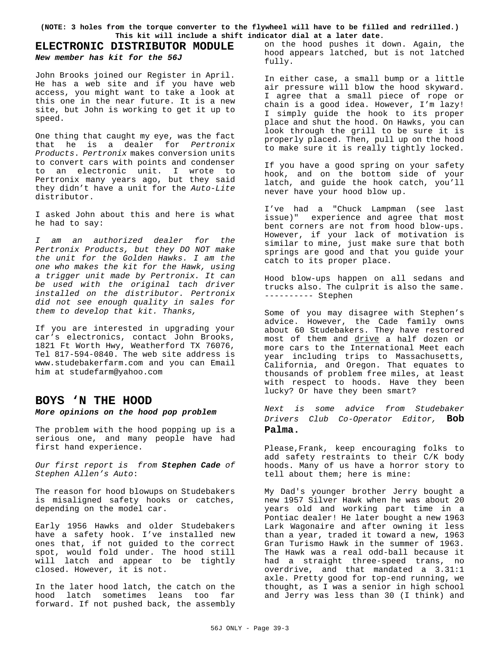**(NOTE: 3 holes from the torque converter to the flywheel will have to be filled and redrilled.) This kit will include a shift indicator dial at a later date.**

#### **ELECTRONIC DISTRIBUTOR MODULE** *New member has kit for the 56J*

John Brooks joined our Register in April. He has a web site and if you have web access, you might want to take a look at this one in the near future. It is a new site, but John is working to get it up to speed.

One thing that caught my eye, was the fact that he is a dealer for *Pertronix Products*. *Pertronix* makes conversion units to convert cars with points and condenser to an electronic unit. I wrote to Pertronix many years ago, but they said they didn't have a unit for the *Auto-Lite* distributor.

I asked John about this and here is what he had to say:

*I am an authorized dealer for the Pertronix Products, but they DO NOT make the unit for the Golden Hawks. I am the one who makes the kit for the Hawk, using a trigger unit made by Pertronix. It can be used with the original tach driver installed on the distributor. Pertronix did not see enough quality in sales for them to develop that kit. Thanks,*

If you are interested in upgrading your car's electronics, contact John Brooks, 1821 Ft Worth Hwy, Weatherford TX 76076, Tel 817-594-0840. The web site address is www.studebakerfarm.com and you can Email him at studefarm@yahoo.com

#### **BOYS 'N THE HOOD**

#### *More opinions on the hood pop problem*

The problem with the hood popping up is a serious one, and many people have had first hand experience.

*Our first report is from Stephen Cade of Stephen Allen's Auto*:

The reason for hood blowups on Studebakers is misaligned safety hooks or catches, depending on the model car.

Early 1956 Hawks and older Studebakers have a safety hook. I've installed new ones that, if not guided to the correct spot, would fold under. The hood still will latch and appear to be tightly closed. However, it is not.

In the later hood latch, the catch on the hood latch sometimes leans too far forward. If not pushed back, the assembly on the hood pushes it down. Again, the hood appears latched, but is not latched fully.

In either case, a small bump or a little air pressure will blow the hood skyward. I agree that a small piece of rope or chain is a good idea. However, I'm lazy! I simply guide the hook to its proper place and shut the hood. On Hawks, you can look through the grill to be sure it is properly placed. Then, pull up on the hood to make sure it is really tightly locked.

If you have a good spring on your safety hook, and on the bottom side of your latch, and guide the hook catch, you'll never have your hood blow up.

I've had a "Chuck Lampman (see last issue)" experience and agree that most bent corners are not from hood blow-ups. However, if your lack of motivation is similar to mine, just make sure that both springs are good and that you guide your catch to its proper place.

Hood blow-ups happen on all sedans and trucks also. The culprit is also the same. ---------- Stephen

Some of you may disagree with Stephen's advice. However, the Cade family owns about 60 Studebakers. They have restored most of them and drive a half dozen or more cars to the International Meet each year including trips to Massachusetts, California, and Oregon. That equates to thousands of problem free miles, at least with respect to hoods. Have they been lucky? Or have they been smart?

*Next is some advice from Studebaker Drivers Club Co-Operator Editor,* **Bob Palma.**

Please,Frank, keep encouraging folks to add safety restraints to their C/K body hoods. Many of us have a horror story to tell about them; here is mine:

My Dad's younger brother Jerry bought a new 1957 Silver Hawk when he was about 20 years old and working part time in a Pontiac dealer! He later bought a new 1963 Lark Wagonaire and after owning it less than a year, traded it toward a new, 1963 Gran Turismo Hawk in the summer of 1963. The Hawk was a real odd-ball because it had a straight three-speed trans, no overdrive, and that mandated a 3.31:1 axle. Pretty good for top-end running, we thought, as I was a senior in high school and Jerry was less than 30 (I think) and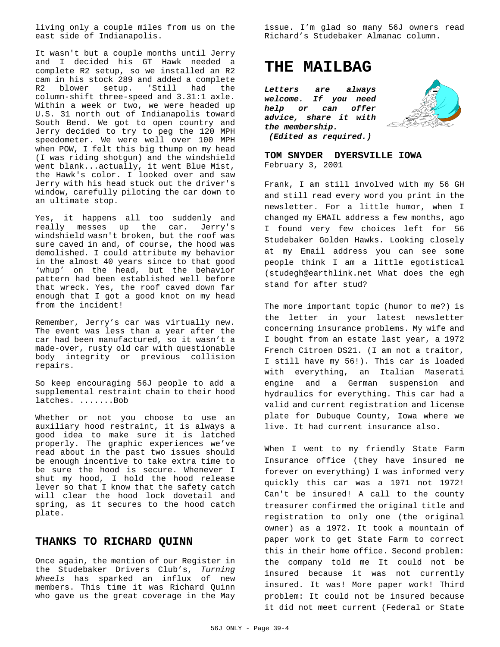living only a couple miles from us on the east side of Indianapolis.

It wasn't but a couple months until Jerry and I decided his GT Hawk needed a complete R2 setup, so we installed an R2 cam in his stock 289 and added a complete R2 blower setup. 'Still had the column-shift three-speed and 3.31:1 axle. Within a week or two, we were headed up U.S. 31 north out of Indianapolis toward South Bend. We got to open country and Jerry decided to try to peg the 120 MPH speedometer. We were well over 100 MPH when POW, I felt this big thump on my head (I was riding shotgun) and the windshield went blank...actually, it went Blue Mist, the Hawk's color. I looked over and saw Jerry with his head stuck out the driver's window, carefully piloting the car down to an ultimate stop.

Yes, it happens all too suddenly and really messes up the car. Jerry's windshield wasn't broken, but the roof was sure caved in and, of course, the hood was demolished. I could attribute my behavior in the almost 40 years since to that good 'whup' on the head, but the behavior pattern had been established well before that wreck. Yes, the roof caved down far enough that I got a good knot on my head from the incident!

Remember, Jerry's car was virtually new. The event was less than a year after the car had been manufactured, so it wasn't a made-over, rusty old car with questionable body integrity or previous collision repairs.

So keep encouraging 56J people to add a supplemental restraint chain to their hood latches. .......Bob

Whether or not you choose to use an auxiliary hood restraint, it is always a good idea to make sure it is latched properly. The graphic experiences we've read about in the past two issues should be enough incentive to take extra time to be sure the hood is secure. Whenever I shut my hood, I hold the hood release lever so that I know that the safety catch will clear the hood lock dovetail and spring, as it secures to the hood catch plate.

#### **THANKS TO RICHARD QUINN**

Once again, the mention of our Register in the Studebaker Drivers Club's, *Turning Wheels* has sparked an influx of new members. This time it was Richard Quinn who gave us the great coverage in the May

issue. I'm glad so many 56J owners read Richard's Studebaker Almanac column.

## **THE MAILBAG**

*Letters are always welcome. If you need help or can advice, share it with the membership. (Edited as required.)*



**TOM SNYDER DYERSVILLE IOWA** February 3, 2001

Frank, I am still involved with my 56 GH and still read every word you print in the newsletter. For a little humor, when I changed my EMAIL address a few months, ago I found very few choices left for 56 Studebaker Golden Hawks. Looking closely at my Email address you can see some people think I am a little egotistical (studegh@earthlink.net What does the egh stand for after stud?

The more important topic (humor to me?) is the letter in your latest newsletter concerning insurance problems. My wife and I bought from an estate last year, a 1972 French Citroen DS21. (I am not a traitor, I still have my 56!). This car is loaded with everything, an Italian Maserati engine and a German suspension and hydraulics for everything. This car had a valid and current registration and license plate for Dubuque County, Iowa where we live. It had current insurance also.

When I went to my friendly State Farm Insurance office (they have insured me forever on everything) I was informed very quickly this car was a 1971 not 1972! Can't be insured! A call to the county treasurer confirmed the original title and registration to only one (the original owner) as a 1972. It took a mountain of paper work to get State Farm to correct this in their home office. Second problem: the company told me It could not be insured because it was not currently insured. It was! More paper work! Third problem: It could not be insured because it did not meet current (Federal or State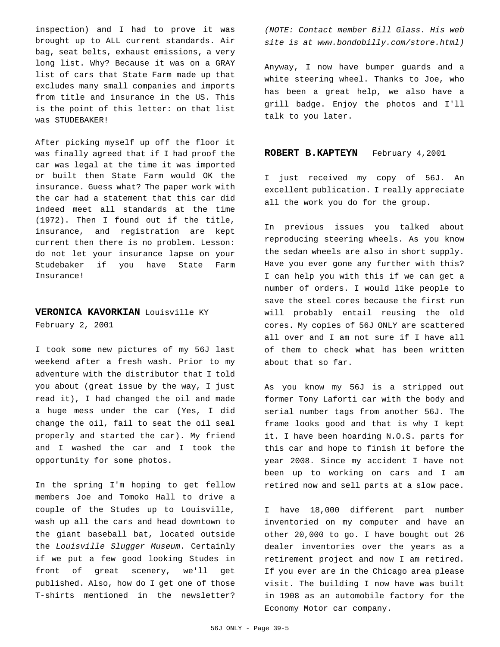inspection) and I had to prove it was brought up to ALL current standards. Air bag, seat belts, exhaust emissions, a very long list. Why? Because it was on a GRAY list of cars that State Farm made up that excludes many small companies and imports from title and insurance in the US. This is the point of this letter: on that list was STUDEBAKER!

After picking myself up off the floor it was finally agreed that if I had proof the car was legal at the time it was imported or built then State Farm would OK the insurance. Guess what? The paper work with the car had a statement that this car did indeed meet all standards at the time (1972). Then I found out if the title, insurance, and registration are kept current then there is no problem. Lesson: do not let your insurance lapse on your Studebaker if you have State Farm Insurance!

## **VERONICA KAVORKIAN** Louisville KY

February 2, 2001

I took some new pictures of my 56J last weekend after a fresh wash. Prior to my adventure with the distributor that I told you about (great issue by the way, I just read it), I had changed the oil and made a huge mess under the car (Yes, I did change the oil, fail to seat the oil seal properly and started the car). My friend and I washed the car and I took the opportunity for some photos.

In the spring I'm hoping to get fellow members Joe and Tomoko Hall to drive a couple of the Studes up to Louisville, wash up all the cars and head downtown to the giant baseball bat, located outside the *Louisville Slugger Museum*. Certainly if we put a few good looking Studes in front of great scenery, we'll get published. Also, how do I get one of those T-shirts mentioned in the newsletter?

*(NOTE: Contact member Bill Glass. His web site is at www.bondobilly.com/store.html)*

Anyway, I now have bumper guards and a white steering wheel. Thanks to Joe, who has been a great help, we also have a grill badge. Enjoy the photos and I'll talk to you later.

#### **ROBERT B.KAPTEYN** February 4,2001

I just received my copy of 56J. An excellent publication. I really appreciate all the work you do for the group.

In previous issues you talked about reproducing steering wheels. As you know the sedan wheels are also in short supply. Have you ever gone any further with this? I can help you with this if we can get a number of orders. I would like people to save the steel cores because the first run will probably entail reusing the old cores. My copies of 56J ONLY are scattered all over and I am not sure if I have all of them to check what has been written about that so far.

As you know my 56J is a stripped out former Tony Laforti car with the body and serial number tags from another 56J. The frame looks good and that is why I kept it. I have been hoarding N.O.S. parts for this car and hope to finish it before the year 2008. Since my accident I have not been up to working on cars and I am retired now and sell parts at a slow pace.

I have 18,000 different part number inventoried on my computer and have an other 20,000 to go. I have bought out 26 dealer inventories over the years as a retirement project and now I am retired. If you ever are in the Chicago area please visit. The building I now have was built in 1908 as an automobile factory for the Economy Motor car company.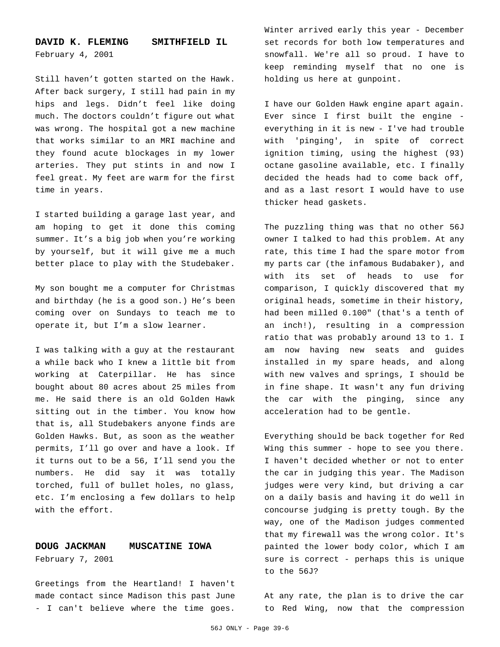#### **DAVID K. FLEMING SMITHFIELD IL** February 4, 2001

Still haven't gotten started on the Hawk. After back surgery, I still had pain in my hips and legs. Didn't feel like doing much. The doctors couldn't figure out what was wrong. The hospital got a new machine that works similar to an MRI machine and they found acute blockages in my lower arteries. They put stints in and now I feel great. My feet are warm for the first time in years.

I started building a garage last year, and am hoping to get it done this coming summer. It's a big job when you're working by yourself, but it will give me a much better place to play with the Studebaker.

My son bought me a computer for Christmas and birthday (he is a good son.) He's been coming over on Sundays to teach me to operate it, but I'm a slow learner.

I was talking with a guy at the restaurant a while back who I knew a little bit from working at Caterpillar. He has since bought about 80 acres about 25 miles from me. He said there is an old Golden Hawk sitting out in the timber. You know how that is, all Studebakers anyone finds are Golden Hawks. But, as soon as the weather permits, I'll go over and have a look. If it turns out to be a 56, I'll send you the numbers. He did say it was totally torched, full of bullet holes, no glass, etc. I'm enclosing a few dollars to help with the effort.

#### **DOUG JACKMAN MUSCATINE IOWA** February 7, 2001

Greetings from the Heartland! I haven't made contact since Madison this past June - I can't believe where the time goes.

Winter arrived early this year - December set records for both low temperatures and snowfall. We're all so proud. I have to keep reminding myself that no one is holding us here at gunpoint.

I have our Golden Hawk engine apart again. Ever since I first built the engine everything in it is new - I've had trouble with 'pinging', in spite of correct ignition timing, using the highest (93) octane gasoline available, etc. I finally decided the heads had to come back off, and as a last resort I would have to use thicker head gaskets.

The puzzling thing was that no other 56J owner I talked to had this problem. At any rate, this time I had the spare motor from my parts car (the infamous Budabaker), and with its set of heads to use for comparison, I quickly discovered that my original heads, sometime in their history, had been milled 0.100" (that's a tenth of an inch!), resulting in a compression ratio that was probably around 13 to 1. I am now having new seats and guides installed in my spare heads, and along with new valves and springs, I should be in fine shape. It wasn't any fun driving the car with the pinging, since any acceleration had to be gentle.

Everything should be back together for Red Wing this summer - hope to see you there. I haven't decided whether or not to enter the car in judging this year. The Madison judges were very kind, but driving a car on a daily basis and having it do well in concourse judging is pretty tough. By the way, one of the Madison judges commented that my firewall was the wrong color. It's painted the lower body color, which I am sure is correct - perhaps this is unique to the 56J?

At any rate, the plan is to drive the car to Red Wing, now that the compression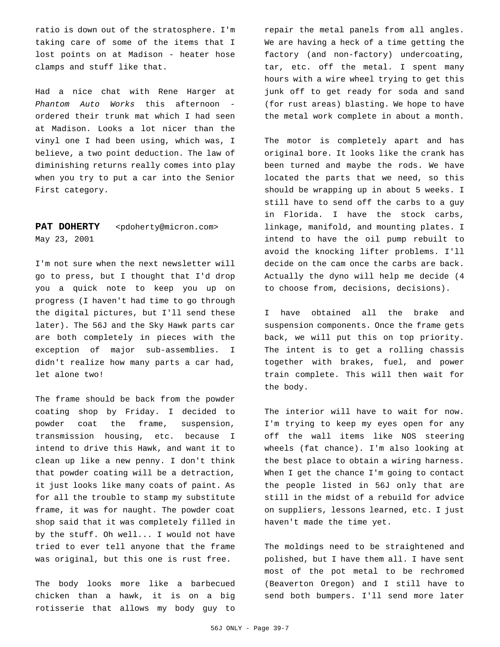ratio is down out of the stratosphere. I'm taking care of some of the items that I lost points on at Madison - heater hose clamps and stuff like that.

Had a nice chat with Rene Harger at *Phantom Auto Works* this afternoon ordered their trunk mat which I had seen at Madison. Looks a lot nicer than the vinyl one I had been using, which was, I believe, a two point deduction. The law of diminishing returns really comes into play when you try to put a car into the Senior First category.

#### PAT DOHERTY <pdoherty@micron.com> May 23, 2001

I'm not sure when the next newsletter will go to press, but I thought that I'd drop you a quick note to keep you up on progress (I haven't had time to go through the digital pictures, but I'll send these later). The 56J and the Sky Hawk parts car are both completely in pieces with the exception of major sub-assemblies. I didn't realize how many parts a car had, let alone two!

The frame should be back from the powder coating shop by Friday. I decided to powder coat the frame, suspension, transmission housing, etc. because I intend to drive this Hawk, and want it to clean up like a new penny. I don't think that powder coating will be a detraction, it just looks like many coats of paint. As for all the trouble to stamp my substitute frame, it was for naught. The powder coat shop said that it was completely filled in by the stuff. Oh well... I would not have tried to ever tell anyone that the frame was original, but this one is rust free.

The body looks more like a barbecued chicken than a hawk, it is on a big rotisserie that allows my body guy to

repair the metal panels from all angles. We are having a heck of a time getting the factory (and non-factory) undercoating, tar, etc. off the metal. I spent many hours with a wire wheel trying to get this junk off to get ready for soda and sand (for rust areas) blasting. We hope to have the metal work complete in about a month.

The motor is completely apart and has original bore. It looks like the crank has been turned and maybe the rods. We have located the parts that we need, so this should be wrapping up in about 5 weeks. I still have to send off the carbs to a guy in Florida. I have the stock carbs, linkage, manifold, and mounting plates. I intend to have the oil pump rebuilt to avoid the knocking lifter problems. I'll decide on the cam once the carbs are back. Actually the dyno will help me decide (4 to choose from, decisions, decisions).

I have obtained all the brake and suspension components. Once the frame gets back, we will put this on top priority. The intent is to get a rolling chassis together with brakes, fuel, and power train complete. This will then wait for the body.

The interior will have to wait for now. I'm trying to keep my eyes open for any off the wall items like NOS steering wheels (fat chance). I'm also looking at the best place to obtain a wiring harness. When I get the chance I'm going to contact the people listed in 56J only that are still in the midst of a rebuild for advice on suppliers, lessons learned, etc. I just haven't made the time yet.

The moldings need to be straightened and polished, but I have them all. I have sent most of the pot metal to be rechromed (Beaverton Oregon) and I still have to send both bumpers. I'll send more later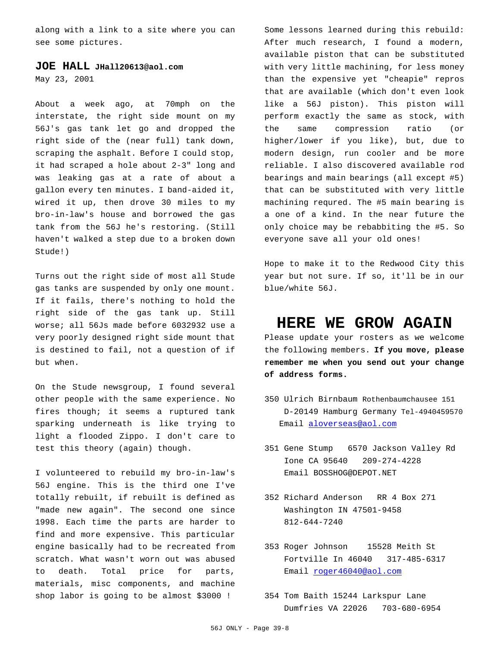along with a link to a site where you can see some pictures.

#### **JOE HALL JHall20613@aol.com**

May 23, 2001

About a week ago, at 70mph on the interstate, the right side mount on my 56J's gas tank let go and dropped the right side of the (near full) tank down, scraping the asphalt. Before I could stop, it had scraped a hole about 2-3" long and was leaking gas at a rate of about a gallon every ten minutes. I band-aided it, wired it up, then drove 30 miles to my bro-in-law's house and borrowed the gas tank from the 56J he's restoring. (Still haven't walked a step due to a broken down Stude!)

Turns out the right side of most all Stude gas tanks are suspended by only one mount. If it fails, there's nothing to hold the right side of the gas tank up. Still worse; all 56Js made before 6032932 use a very poorly designed right side mount that is destined to fail, not a question of if but when.

On the Stude newsgroup, I found several other people with the same experience. No fires though; it seems a ruptured tank sparking underneath is like trying to light a flooded Zippo. I don't care to test this theory (again) though.

I volunteered to rebuild my bro-in-law's 56J engine. This is the third one I've totally rebuilt, if rebuilt is defined as "made new again". The second one since 1998. Each time the parts are harder to find and more expensive. This particular engine basically had to be recreated from scratch. What wasn't worn out was abused to death. Total price for parts, materials, misc components, and machine shop labor is going to be almost \$3000 !

Some lessons learned during this rebuild: After much research, I found a modern, available piston that can be substituted with very little machining, for less money than the expensive yet "cheapie" repros that are available (which don't even look like a 56J piston). This piston will perform exactly the same as stock, with the same compression ratio (or higher/lower if you like), but, due to modern design, run cooler and be more reliable. I also discovered available rod bearings and main bearings (all except #5) that can be substituted with very little machining requred. The #5 main bearing is a one of a kind. In the near future the only choice may be rebabbiting the #5. So everyone save all your old ones!

Hope to make it to the Redwood City this year but not sure. If so, it'll be in our blue/white 56J.

### **HERE WE GROW AGAIN**

Please update your rosters as we welcome the following members. **If you move, please remember me when you send out your change of address forms.**

- 350 Ulrich Birnbaum Rothenbaumchausee 151 D-20149 Hamburg Germany Tel-4940459570 Email aloverseas@aol.com
- 351 Gene Stump 6570 Jackson Valley Rd Ione CA 95640 209-274-4228 Email BOSSHOG@DEPOT.NET
- 352 Richard Anderson RR 4 Box 271 Washington IN 47501-9458 812-644-7240
- 353 Roger Johnson 15528 Meith St Fortville In 46040 317-485-6317 Email roger46040@aol.com
- 354 Tom Baith 15244 Larkspur Lane Dumfries VA 22026 703-680-6954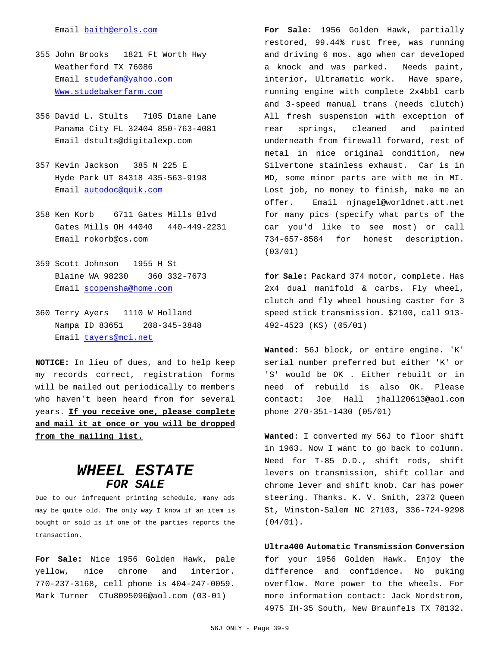#### Email baith@erols.com

- 355 John Brooks 1821 Ft Worth Hwy Weatherford TX 76086 Email studefam@yahoo.com Www.studebakerfarm.com
- 356 David L. Stults 7105 Diane Lane Panama City FL 32404 850-763-4081 Email dstults@digitalexp.com
- 357 Kevin Jackson 385 N 225 E Hyde Park UT 84318 435-563-9198 Email autodoc@quik.com
- 358 Ken Korb 6711 Gates Mills Blvd Gates Mills OH 44040 440-449-2231 Email rokorb@cs.com
- 359 Scott Johnson 1955 H St Blaine WA 98230 360 332-7673 Email scopensha@home.com
- 360 Terry Ayers 1110 W Holland Nampa ID 83651 208-345-3848 Email tayers@mci.net

**NOTICE:** In lieu of dues, and to help keep my records correct, registration forms will be mailed out periodically to members who haven't been heard from for several years. **If you receive one, please complete and mail it at once or you will be dropped from the mailing list.**

## *WHEEL ESTATE FOR SALE*

Due to our infrequent printing schedule, many ads may be quite old. The only way I know if an item is bought or sold is if one of the parties reports the transaction.

**For Sale:** Nice 1956 Golden Hawk, pale yellow, nice chrome and interior. 770-237-3168, cell phone is 404-247-0059. Mark Turner CTu8095096@aol.com (03-01)

**For Sale:** 1956 Golden Hawk, partially restored, 99.44% rust free, was running and driving 6 mos. ago when car developed a knock and was parked. Needs paint, interior, Ultramatic work. Have spare, running engine with complete 2x4bbl carb and 3-speed manual trans (needs clutch) All fresh suspension with exception of rear springs, cleaned and painted underneath from firewall forward, rest of metal in nice original condition, new Silvertone stainless exhaust. Car is in MD, some minor parts are with me in MI. Lost job, no money to finish, make me an offer. Email njnagel@worldnet.att.net for many pics (specify what parts of the car you'd like to see most) or call 734-657-8584 for honest description. (03/01)

**for Sale:** Packard 374 motor, complete. Has 2x4 dual manifold & carbs. Fly wheel, clutch and fly wheel housing caster for 3 speed stick transmission. \$2100, call 913- 492-4523 (KS) (05/01)

**Wanted:** 56J block, or entire engine. 'K' serial number preferred but either 'K' or 'S' would be OK . Either rebuilt or in need of rebuild is also OK. Please contact: Joe Hall jhall20613@aol.com phone 270-351-1430 (05/01)

**Wanted**: I converted my 56J to floor shift in 1963. Now I want to go back to column. Need for T-85 O.D., shift rods, shift levers on transmission, shift collar and chrome lever and shift knob. Car has power steering. Thanks. K. V. Smith, 2372 Queen St, Winston-Salem NC 27103, 336-724-9298 (04/01).

#### **Ultra400 Automatic Transmission Conversion** for your 1956 Golden Hawk. Enjoy the difference and confidence. No puking overflow. More power to the wheels. For more information contact: Jack Nordstrom,

4975 IH-35 South, New Braunfels TX 78132.